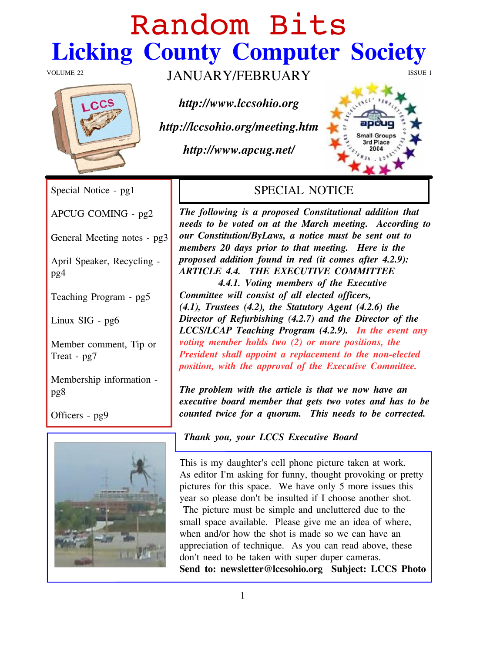# Sboepn! Cj ut Olf nlqj #Fr xqw #Frp sxwhu#Vrflhw

 $YRQXPHiff5$  MDQXDU\ 2 HEUXDU\  $\#$ 

kws=22z z z 1of vr klr 1r uj

kws=22of f vr klr 1r uj 2p hhwlqj 1kwp

kws=22z z z 1dsf xj 1qhw2

| Vshf Idd#Qr wf h#0#sj 4                     | <b>VSHFLDO#QRWLFH</b>                                                                                                                                                                                                                                                                                                                                                                                                                                                                                                                                                                                                                  |
|---------------------------------------------|----------------------------------------------------------------------------------------------------------------------------------------------------------------------------------------------------------------------------------------------------------------------------------------------------------------------------------------------------------------------------------------------------------------------------------------------------------------------------------------------------------------------------------------------------------------------------------------------------------------------------------------|
| DSFXJ#FRPLQJ#0#sj5                          | Wikh#iroorzlqj#lv#d#sursrvhg#Frqvwtwxwtrqdo#dgglwtrq#wkdw#<br>qhhqv#wr#eh#yrvlag#rq#dv#wkh#Pdufk#phhwlqj##Dffruglqj#wr#                                                                                                                                                                                                                                                                                                                                                                                                                                                                                                                |
| J hqhuddiP hhwlqj #qr vlnv#0#sj 6           | r x u#Fr q www.wir q 2E   Odz v/#d#qr wlf h#p x w#teh#vhqw#r x w#wr#<br>p hp ehw#53#gd  v#sulru#wr#wkdw#p hhwlqj 1##K huh#Iv#wkh#                                                                                                                                                                                                                                                                                                                                                                                                                                                                                                      |
| Dsud#Vshdnhu/#Uhf   f dqj #0#<br>sj 7       | sur sr vhg#dgglwir q#ir xqg#lq#uhg#+lw#f r p hw#diwhu#7151<.=<br>DUWFOH#717##WKH#H[HFXWLYH#FRPPLWWHH<br>##########717141#Yrwlaj#phpehw#ri#wkh#H{hfxwlyh#                                                                                                                                                                                                                                                                                                                                                                                                                                                                               |
| Whdf klqj #Surjudp #0#sj 8                  | Frpplwohttzloottfrqvlw.ttrittdootthdnfwhgttriilfhw/<br>+714,/#NUxwbhv#+715,/#wkh#Vvdvxwru  #Dj hqv#+71519,#wkh#                                                                                                                                                                                                                                                                                                                                                                                                                                                                                                                        |
| Clqx{ #VLJ #0#sj 9                          | Gluhfwru#ri#Uhixuelvklqj#-7151,#dqg#wkh#Gluhfwru#ri#wkh#<br>OFFV2OFDS#Nhdfklqj#Surjudp#+7151<, ##Lq#Mkh#hyhqw#dq #                                                                                                                                                                                                                                                                                                                                                                                                                                                                                                                     |
| P hp ehuff r p p hqwtAN's#ru#<br>Whowhotsj: | yr wloji #p hp ehu#krogy#wzr#+5,#ru#pruh#srvlwtrqv/#wkh#<br>Suhvighqv#vkdoc#dssrlqv#d#uhsodfhphqv#vr#vkh#qrq0hdnfvlag#<br>sr viviar q/#z lvk #vkh#dssurydd#ri#vkh#H{hf xvivyh#Frpplwah1                                                                                                                                                                                                                                                                                                                                                                                                                                                |
| P hp ehunkis# qir up dur q# $0#$<br>sj ;    | Wikh#surednp#zlwk#wikh#duwlfdh#lv#wikdw#zh#qrz#kdyh#dq#<br>h{ hf x wyh#er dug#p hp ehu#wk dw#j hw#wz r #yr whw#dqg#k dv#wr #eh#                                                                                                                                                                                                                                                                                                                                                                                                                                                                                                        |
| $Ri$ ilf hw# $O#i$                          | fr xqvlag#wz If h#ir u#d#t xr uxp ##AVKIv#qhhgv#wr#eh#fr uuhfwlag1                                                                                                                                                                                                                                                                                                                                                                                                                                                                                                                                                                     |
|                                             | #Wkdqn# rx/# rxu#OFFV#H{hfxwlyh#Erdug                                                                                                                                                                                                                                                                                                                                                                                                                                                                                                                                                                                                  |
|                                             | Wikiv#iv#p   #gdxj kvlau*v#fhoo#skrqh#slfwxuh#volnhq#dv#zrun1<br>Dv#nglwru#L*p#dvnlqj#iru#ixqq /#wkrxjkw#suryrnlqj#ru#suhwy#<br>slfw.uhv#iru#wklv#vsdfh1##Zh#kdyh#rqol#8#pruh#lwxhv#wklv#<br>  holu#vr#soholvh#grq*v#eh#lqvxovlag#li#L#fkrrvh#dqrvkhu#vkrv0#<br>#Wkh#slfw.uh#pxw#deh#vlpsdn#dqg#xqfoxwhuhg#gxh#wr#wkh#<br>vp dochtvsdf httdydlodedn tttfSdndvhttj lyhttp httdqttlghdttrittz khuh/#<br>z kho#dog2 u#krz# wkh#wkrw#lv#p dojh#vr#z h#fdo#kdyh#doj#<br>dssuhfldwig#ri#whfkgltxh##Dv# rx#fdg#uhdg#deryh/#wkhvh#<br>gr q*v#qhhg#wr#eh#wdnhq#z lwk#vxshu#gxshu#fdp hudv1<br>Vhqq#wr=#qhzvdnwhuCdfvrklrtuj##Vxenhfw#OFFV#Skrwr |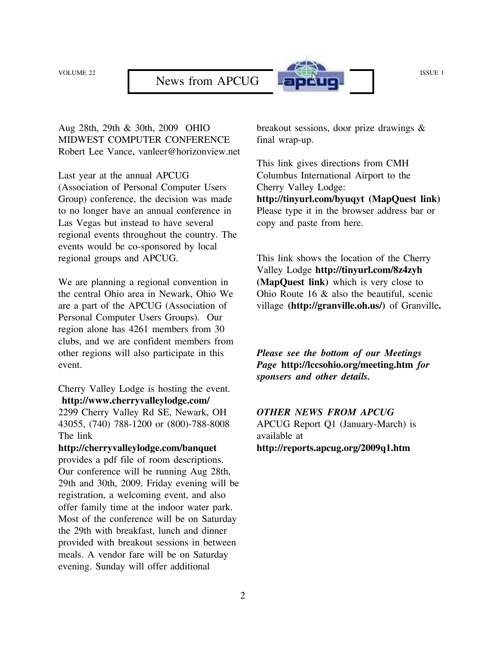

Aug 28th, 29th & 30th, 2009 OHIO MIDWEST COMPUTER CONFERENCE Robert Lee Vance, vanleer@horizonview.net

Last year at the annual APCUG (Association of Personal Computer Users Group) conference, the decision was made to no longer have an annual conference in Las Vegas but instead to have several regional events throughout the country. The events would be co-sponsored by local regional groups and APCUG.

We are planning a regional convention in the central Ohio area in Newark, Ohio We are a part of the APCUG (Association of Personal Computer Users Groups). Our region alone has 4261 members from 30 clubs, and we are confident members from other regions will also participate in this event.

Cherry Valley Lodge is hosting the event. **http://www.cherryvalleylodge.com/** 2299 Cherry Valley Rd SE, Newark, OH 43055, (740) 788-1200 or (800)-788-8008 The link

**http://cherryvalleylodge.com/banquet** provides a pdf file of room descriptions. Our conference will be running Aug 28th, 29th and 30th, 2009. Friday evening will be registration, a welcoming event, and also offer family time at the indoor water park. Most of the conference will be on Saturday the 29th with breakfast, lunch and dinner provided with breakout sessions in between meals. A vendor fare will be on Saturday evening. Sunday will offer additional

breakout sessions, door prize drawings & final wrap-up.

This link gives directions from CMH Columbus International Airport to the Cherry Valley Lodge: **http://tinyurl.com/byuqyt (MapQuest link)** Please type it in the browser address bar or copy and paste from here.

This link shows the location of the Cherry Valley Lodge **http://tinyurl.com/8z4zyh (MapQuest link)** which is very close to Ohio Route 16 & also the beautiful, scenic village **(http://granville.oh.us/)** of Granville**.**

*Please see the bottom of our Meetings Page* **http://lccsohio.org/meeting.htm** *for sponsers and other details.*

*OTHER NEWS FROM APCUG* APCUG Report Q1 (January-March) is available at **http://reports.apcug.org/2009q1.htm**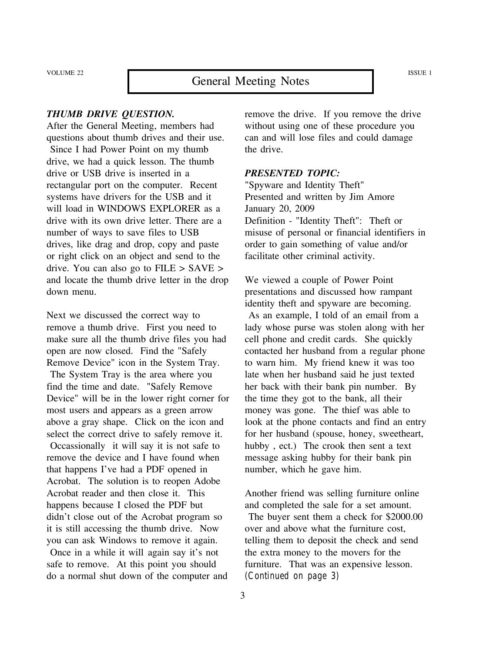# VOLUME 22 **General Meeting Notes** ISSUE 1

#### *THUMB DRIVE QUESTION.*

After the General Meeting, members had questions about thumb drives and their use. Since I had Power Point on my thumb drive, we had a quick lesson. The thumb drive or USB drive is inserted in a rectangular port on the computer. Recent systems have drivers for the USB and it will load in WINDOWS EXPLORER as a drive with its own drive letter. There are a number of ways to save files to USB drives, like drag and drop, copy and paste or right click on an object and send to the drive. You can also go to FILE > SAVE > and locate the thumb drive letter in the drop down menu.

Next we discussed the correct way to remove a thumb drive. First you need to make sure all the thumb drive files you had open are now closed. Find the "Safely Remove Device" icon in the System Tray. The System Tray is the area where you find the time and date. "Safely Remove Device" will be in the lower right corner for most users and appears as a green arrow above a gray shape. Click on the icon and select the correct drive to safely remove it. Occassionally it will say it is not safe to remove the device and I have found when that happens I've had a PDF opened in Acrobat. The solution is to reopen Adobe Acrobat reader and then close it. This happens because I closed the PDF but didn't close out of the Acrobat program so it is still accessing the thumb drive. Now you can ask Windows to remove it again.

Once in a while it will again say it's not safe to remove. At this point you should do a normal shut down of the computer and remove the drive. If you remove the drive without using one of these procedure you can and will lose files and could damage the drive.

#### *PRESENTED TOPIC:*

"Spyware and Identity Theft" Presented and written by Jim Amore January 20, 2009 Definition - "Identity Theft": Theft or misuse of personal or financial identifiers in order to gain something of value and/or facilitate other criminal activity.

We viewed a couple of Power Point presentations and discussed how rampant identity theft and spyware are becoming. As an example, I told of an email from a lady whose purse was stolen along with her cell phone and credit cards. She quickly contacted her husband from a regular phone to warn him. My friend knew it was too late when her husband said he just texted her back with their bank pin number. By the time they got to the bank, all their money was gone. The thief was able to look at the phone contacts and find an entry for her husband (spouse, honey, sweetheart, hubby , ect.) The crook then sent a text message asking hubby for their bank pin number, which he gave him.

Another friend was selling furniture online and completed the sale for a set amount. The buyer sent them a check for \$2000.00 over and above what the furniture cost, telling them to deposit the check and send the extra money to the movers for the furniture. That was an expensive lesson. *(Continued on page 3)*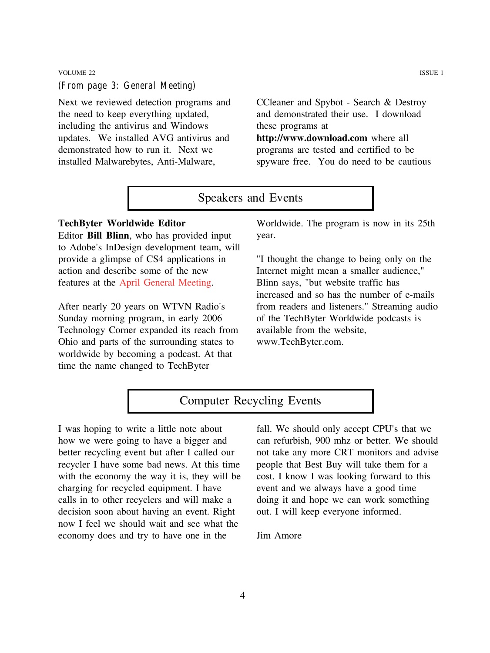#### VOLUME 22 ISSUE 1 *(From page 3: General Meeting)*

Next we reviewed detection programs and the need to keep everything updated, including the antivirus and Windows updates. We installed AVG antivirus and demonstrated how to run it. Next we installed Malwarebytes, Anti-Malware,

CCleaner and Spybot - Search & Destroy and demonstrated their use. I download these programs at **http://www.download.com** where all programs are tested and certified to be spyware free. You do need to be cautious

# Speakers and Events

#### **TechByter Worldwide Editor**

Editor **Bill Blinn**, who has provided input to Adobe's InDesign development team, will provide a glimpse of CS4 applications in action and describe some of the new features at the April General Meeting.

After nearly 20 years on WTVN Radio's Sunday morning program, in early 2006 Technology Corner expanded its reach from Ohio and parts of the surrounding states to worldwide by becoming a podcast. At that time the name changed to TechByter

Worldwide. The program is now in its 25th year.

"I thought the change to being only on the Internet might mean a smaller audience," Blinn says, "but website traffic has increased and so has the number of e-mails from readers and listeners." Streaming audio of the TechByter Worldwide podcasts is available from the website, www.TechByter.com.

# Computer Recycling Events

I was hoping to write a little note about how we were going to have a bigger and better recycling event but after I called our recycler I have some bad news. At this time with the economy the way it is, they will be charging for recycled equipment. I have calls in to other recyclers and will make a decision soon about having an event. Right now I feel we should wait and see what the economy does and try to have one in the

fall. We should only accept CPU's that we can refurbish, 900 mhz or better. We should not take any more CRT monitors and advise people that Best Buy will take them for a cost. I know I was looking forward to this event and we always have a good time doing it and hope we can work something out. I will keep everyone informed.

Jim Amore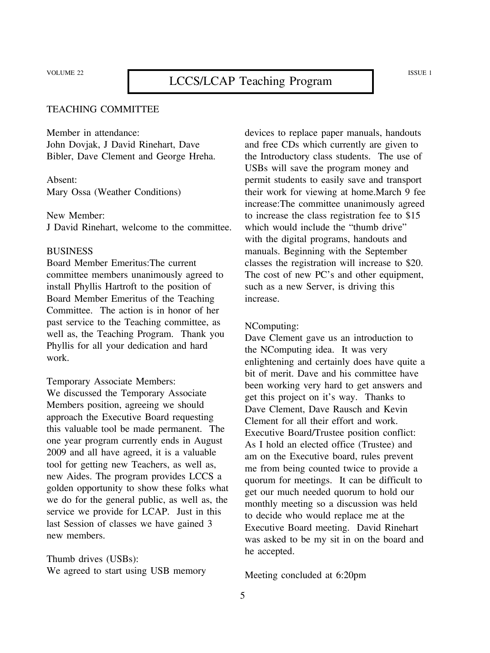#### TEACHING COMMITTEE

Member in attendance: John Dovjak, J David Rinehart, Dave Bibler, Dave Clement and George Hreha.

Absent: Mary Ossa (Weather Conditions)

New Member: J David Rinehart, welcome to the committee.

#### **BUSINESS**

Board Member Emeritus:The current committee members unanimously agreed to install Phyllis Hartroft to the position of Board Member Emeritus of the Teaching Committee. The action is in honor of her past service to the Teaching committee, as well as, the Teaching Program. Thank you Phyllis for all your dedication and hard work.

Temporary Associate Members:

We discussed the Temporary Associate Members position, agreeing we should approach the Executive Board requesting this valuable tool be made permanent. The one year program currently ends in August 2009 and all have agreed, it is a valuable tool for getting new Teachers, as well as, new Aides. The program provides LCCS a golden opportunity to show these folks what we do for the general public, as well as, the service we provide for LCAP. Just in this last Session of classes we have gained 3 new members.

Thumb drives (USBs): We agreed to start using USB memory devices to replace paper manuals, handouts and free CDs which currently are given to the Introductory class students. The use of USBs will save the program money and permit students to easily save and transport their work for viewing at home.March 9 fee increase:The committee unanimously agreed to increase the class registration fee to \$15 which would include the "thumb drive" with the digital programs, handouts and manuals. Beginning with the September classes the registration will increase to \$20. The cost of new PC's and other equipment, such as a new Server, is driving this increase.

#### NComputing:

Dave Clement gave us an introduction to the NComputing idea. It was very enlightening and certainly does have quite a bit of merit. Dave and his committee have been working very hard to get answers and get this project on it's way. Thanks to Dave Clement, Dave Rausch and Kevin Clement for all their effort and work. Executive Board/Trustee position conflict: As I hold an elected office (Trustee) and am on the Executive board, rules prevent me from being counted twice to provide a quorum for meetings. It can be difficult to get our much needed quorum to hold our monthly meeting so a discussion was held to decide who would replace me at the Executive Board meeting. David Rinehart was asked to be my sit in on the board and he accepted.

Meeting concluded at 6:20pm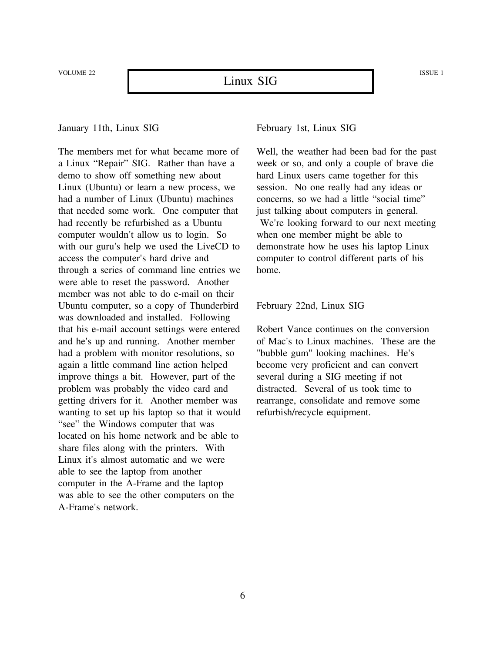VOLUME 22 ISSUE 1

#### January 11th, Linux SIG

The members met for what became more of a Linux "Repair" SIG. Rather than have a demo to show off something new about Linux (Ubuntu) or learn a new process, we had a number of Linux (Ubuntu) machines that needed some work. One computer that had recently be refurbished as a Ubuntu computer wouldn't allow us to login. So with our guru's help we used the LiveCD to access the computer's hard drive and through a series of command line entries we were able to reset the password. Another member was not able to do e-mail on their Ubuntu computer, so a copy of Thunderbird was downloaded and installed. Following that his e-mail account settings were entered and he's up and running. Another member had a problem with monitor resolutions, so again a little command line action helped improve things a bit. However, part of the problem was probably the video card and getting drivers for it. Another member was wanting to set up his laptop so that it would "see" the Windows computer that was located on his home network and be able to share files along with the printers. With Linux it's almost automatic and we were able to see the laptop from another computer in the A-Frame and the laptop was able to see the other computers on the A-Frame's network.

February 1st, Linux SIG

Well, the weather had been bad for the past week or so, and only a couple of brave die hard Linux users came together for this session. No one really had any ideas or concerns, so we had a little "social time" just talking about computers in general. We're looking forward to our next meeting when one member might be able to demonstrate how he uses his laptop Linux computer to control different parts of his home.

#### February 22nd, Linux SIG

Robert Vance continues on the conversion of Mac's to Linux machines. These are the "bubble gum" looking machines. He's become very proficient and can convert several during a SIG meeting if not distracted. Several of us took time to rearrange, consolidate and remove some refurbish/recycle equipment.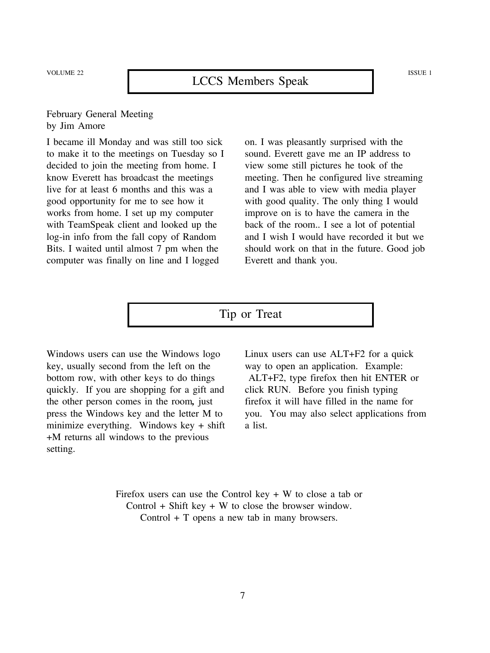#### February General Meeting by Jim Amore

I became ill Monday and was still too sick to make it to the meetings on Tuesday so I decided to join the meeting from home. I know Everett has broadcast the meetings live for at least 6 months and this was a good opportunity for me to see how it works from home. I set up my computer with TeamSpeak client and looked up the log-in info from the fall copy of Random Bits. I waited until almost 7 pm when the computer was finally on line and I logged

on. I was pleasantly surprised with the sound. Everett gave me an IP address to view some still pictures he took of the meeting. Then he configured live streaming and I was able to view with media player with good quality. The only thing I would improve on is to have the camera in the back of the room.. I see a lot of potential and I wish I would have recorded it but we should work on that in the future. Good job Everett and thank you.

## Tip or Treat

Windows users can use the Windows logo key, usually second from the left on the bottom row, with other keys to do things quickly. If you are shopping for a gift and the other person comes in the room*,* just press the Windows key and the letter M to minimize everything. Windows key + shift +M returns all windows to the previous setting.

Linux users can use ALT+F2 for a quick way to open an application. Example: ALT+F2, type firefox then hit ENTER or click RUN. Before you finish typing firefox it will have filled in the name for you. You may also select applications from a list.

Firefox users can use the Control key  $+ W$  to close a tab or Control  $+$  Shift key  $+$  W to close the browser window. Control + T opens a new tab in many browsers.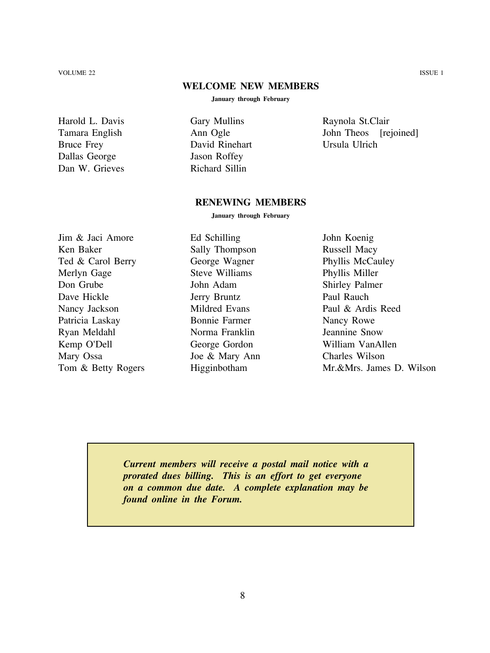VOLUME 22 ISSUE 1

#### **WELCOME NEW MEMBERS**

**January through February**

Harold L. Davis Tamara English Bruce Frey Dallas George Dan W. Grieves Gary Mullins Ann Ogle David Rinehart Jason Roffey Richard Sillin

Raynola St.Clair John Theos [rejoined] Ursula Ulrich

#### **RENEWING MEMBERS**

**January through February**

Jim & Jaci Amore Ken Baker Ted & Carol Berry Merlyn Gage Don Grube Dave Hickle Nancy Jackson Patricia Laskay Ryan Meldahl Kemp O'Dell Mary Ossa Tom & Betty Rogers

Ed Schilling Sally Thompson George Wagner Steve Williams John Adam Jerry Bruntz Mildred Evans Bonnie Farmer Norma Franklin George Gordon Joe & Mary Ann Higginbotham

John Koenig Russell Macy Phyllis McCauley Phyllis Miller Shirley Palmer Paul Rauch Paul & Ardis Reed Nancy Rowe Jeannine Snow William VanAllen Charles Wilson Mr.&Mrs. James D. Wilson

*Current members will receive a postal mail notice with a prorated dues billing. This is an effort to get everyone on a common due date. A complete explanation may be found online in the Forum.*